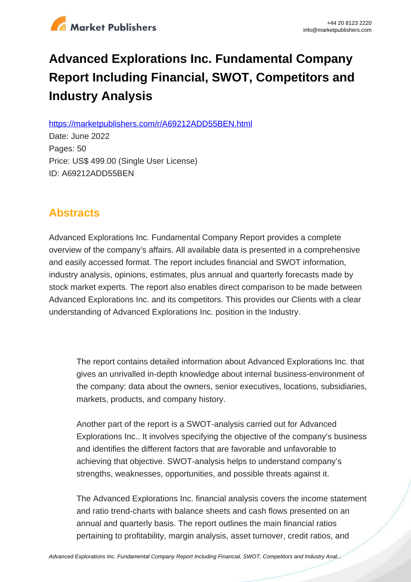

# **Advanced Explorations Inc. Fundamental Company Report Including Financial, SWOT, Competitors and Industry Analysis**

https://marketpublishers.com/r/A69212ADD55BEN.html

Date: June 2022 Pages: 50 Price: US\$ 499.00 (Single User License) ID: A69212ADD55BEN

## **Abstracts**

Advanced Explorations Inc. Fundamental Company Report provides a complete overview of the company's affairs. All available data is presented in a comprehensive and easily accessed format. The report includes financial and SWOT information, industry analysis, opinions, estimates, plus annual and quarterly forecasts made by stock market experts. The report also enables direct comparison to be made between Advanced Explorations Inc. and its competitors. This provides our Clients with a clear understanding of Advanced Explorations Inc. position in the Industry.

The report contains detailed information about Advanced Explorations Inc. that gives an unrivalled in-depth knowledge about internal business-environment of the company: data about the owners, senior executives, locations, subsidiaries, markets, products, and company history.

Another part of the report is a SWOT-analysis carried out for Advanced Explorations Inc.. It involves specifying the objective of the company's business and identifies the different factors that are favorable and unfavorable to achieving that objective. SWOT-analysis helps to understand company's strengths, weaknesses, opportunities, and possible threats against it.

The Advanced Explorations Inc. financial analysis covers the income statement and ratio trend-charts with balance sheets and cash flows presented on an annual and quarterly basis. The report outlines the main financial ratios pertaining to profitability, margin analysis, asset turnover, credit ratios, and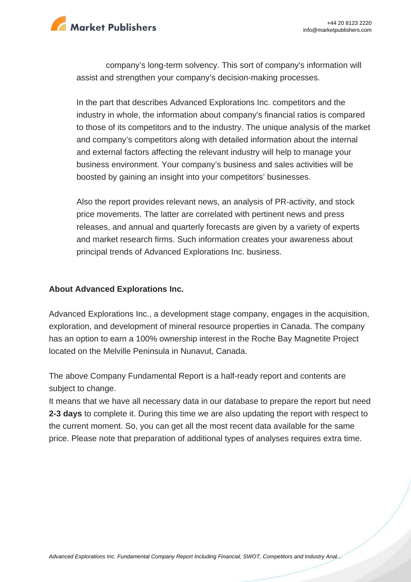

company's long-term solvency. This sort of company's information will assist and strengthen your company's decision-making processes.

In the part that describes Advanced Explorations Inc. competitors and the industry in whole, the information about company's financial ratios is compared to those of its competitors and to the industry. The unique analysis of the market and company's competitors along with detailed information about the internal and external factors affecting the relevant industry will help to manage your business environment. Your company's business and sales activities will be boosted by gaining an insight into your competitors' businesses.

Also the report provides relevant news, an analysis of PR-activity, and stock price movements. The latter are correlated with pertinent news and press releases, and annual and quarterly forecasts are given by a variety of experts and market research firms. Such information creates your awareness about principal trends of Advanced Explorations Inc. business.

#### **About Advanced Explorations Inc.**

Advanced Explorations Inc., a development stage company, engages in the acquisition, exploration, and development of mineral resource properties in Canada. The company has an option to earn a 100% ownership interest in the Roche Bay Magnetite Project located on the Melville Peninsula in Nunavut, Canada.

The above Company Fundamental Report is a half-ready report and contents are subject to change.

It means that we have all necessary data in our database to prepare the report but need **2-3 days** to complete it. During this time we are also updating the report with respect to the current moment. So, you can get all the most recent data available for the same price. Please note that preparation of additional types of analyses requires extra time.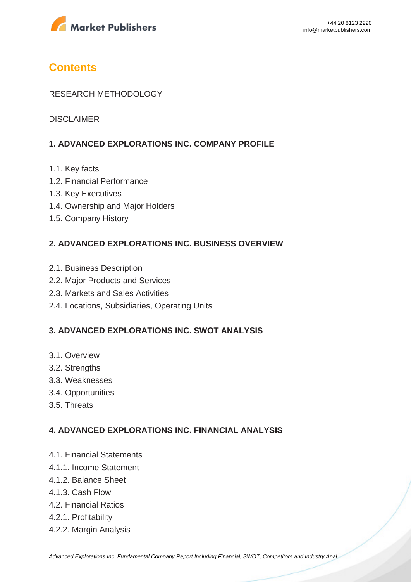

## **Contents**

### RESEARCH METHODOLOGY

DISCLAIMER

## **1. ADVANCED EXPLORATIONS INC. COMPANY PROFILE**

- 1.1. Key facts
- 1.2. Financial Performance
- 1.3. Key Executives
- 1.4. Ownership and Major Holders
- 1.5. Company History

#### **2. ADVANCED EXPLORATIONS INC. BUSINESS OVERVIEW**

- 2.1. Business Description
- 2.2. Major Products and Services
- 2.3. Markets and Sales Activities
- 2.4. Locations, Subsidiaries, Operating Units

#### **3. ADVANCED EXPLORATIONS INC. SWOT ANALYSIS**

- 3.1. Overview
- 3.2. Strengths
- 3.3. Weaknesses
- 3.4. Opportunities
- 3.5. Threats

#### **4. ADVANCED EXPLORATIONS INC. FINANCIAL ANALYSIS**

- 4.1. Financial Statements
- 4.1.1. Income Statement
- 4.1.2. Balance Sheet
- 4.1.3. Cash Flow
- 4.2. Financial Ratios
- 4.2.1. Profitability
- 4.2.2. Margin Analysis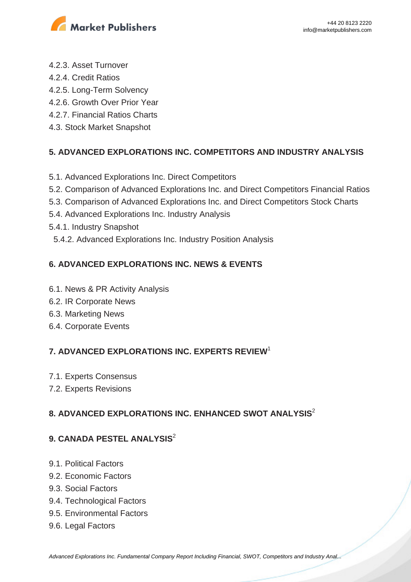

- 4.2.3. Asset Turnover
- 4.2.4. Credit Ratios
- 4.2.5. Long-Term Solvency
- 4.2.6. Growth Over Prior Year
- 4.2.7. Financial Ratios Charts
- 4.3. Stock Market Snapshot

## **5. ADVANCED EXPLORATIONS INC. COMPETITORS AND INDUSTRY ANALYSIS**

- 5.1. Advanced Explorations Inc. Direct Competitors
- 5.2. Comparison of Advanced Explorations Inc. and Direct Competitors Financial Ratios
- 5.3. Comparison of Advanced Explorations Inc. and Direct Competitors Stock Charts
- 5.4. Advanced Explorations Inc. Industry Analysis
- 5.4.1. Industry Snapshot
- 5.4.2. Advanced Explorations Inc. Industry Position Analysis

## **6. ADVANCED EXPLORATIONS INC. NEWS & EVENTS**

- 6.1. News & PR Activity Analysis
- 6.2. IR Corporate News
- 6.3. Marketing News
- 6.4. Corporate Events

## **7. ADVANCED EXPLORATIONS INC. EXPERTS REVIEW**<sup>1</sup>

- 7.1. Experts Consensus
- 7.2. Experts Revisions

## **8. ADVANCED EXPLORATIONS INC. ENHANCED SWOT ANALYSIS**<sup>2</sup>

## **9. CANADA PESTEL ANALYSIS**<sup>2</sup>

- 9.1. Political Factors
- 9.2. Economic Factors
- 9.3. Social Factors
- 9.4. Technological Factors
- 9.5. Environmental Factors
- 9.6. Legal Factors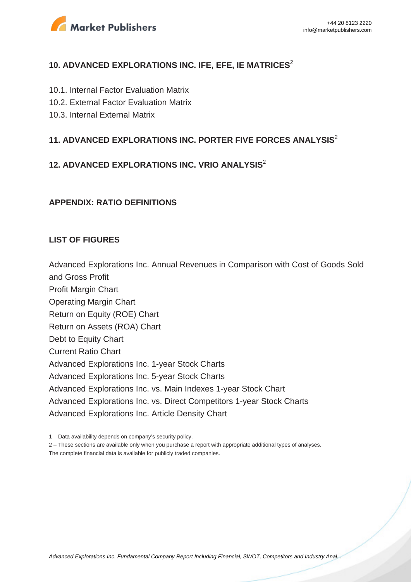

## **10. ADVANCED EXPLORATIONS INC. IFE, EFE, IE MATRICES**<sup>2</sup>

- 10.1. Internal Factor Evaluation Matrix
- 10.2. External Factor Evaluation Matrix
- 10.3. Internal External Matrix

### **11. ADVANCED EXPLORATIONS INC. PORTER FIVE FORCES ANALYSIS**<sup>2</sup>

## **12. ADVANCED EXPLORATIONS INC. VRIO ANALYSIS**<sup>2</sup>

#### **APPENDIX: RATIO DEFINITIONS**

#### **LIST OF FIGURES**

Advanced Explorations Inc. Annual Revenues in Comparison with Cost of Goods Sold and Gross Profit

Profit Margin Chart Operating Margin Chart Return on Equity (ROE) Chart Return on Assets (ROA) Chart Debt to Equity Chart Current Ratio Chart Advanced Explorations Inc. 1-year Stock Charts Advanced Explorations Inc. 5-year Stock Charts Advanced Explorations Inc. vs. Main Indexes 1-year Stock Chart Advanced Explorations Inc. vs. Direct Competitors 1-year Stock Charts Advanced Explorations Inc. Article Density Chart

1 – Data availability depends on company's security policy.

2 – These sections are available only when you purchase a report with appropriate additional types of analyses. The complete financial data is available for publicly traded companies.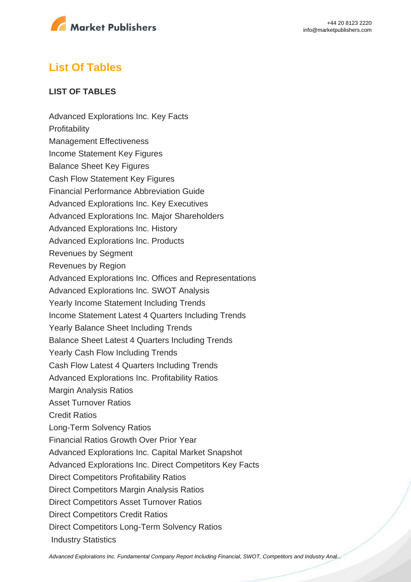

## **List Of Tables**

## **LIST OF TABLES**

Advanced Explorations Inc. Key Facts **Profitability** Management Effectiveness Income Statement Key Figures Balance Sheet Key Figures Cash Flow Statement Key Figures Financial Performance Abbreviation Guide Advanced Explorations Inc. Key Executives Advanced Explorations Inc. Major Shareholders Advanced Explorations Inc. History Advanced Explorations Inc. Products Revenues by Segment Revenues by Region Advanced Explorations Inc. Offices and Representations Advanced Explorations Inc. SWOT Analysis Yearly Income Statement Including Trends Income Statement Latest 4 Quarters Including Trends Yearly Balance Sheet Including Trends Balance Sheet Latest 4 Quarters Including Trends Yearly Cash Flow Including Trends Cash Flow Latest 4 Quarters Including Trends Advanced Explorations Inc. Profitability Ratios Margin Analysis Ratios Asset Turnover Ratios Credit Ratios Long-Term Solvency Ratios Financial Ratios Growth Over Prior Year Advanced Explorations Inc. Capital Market Snapshot Advanced Explorations Inc. Direct Competitors Key Facts Direct Competitors Profitability Ratios Direct Competitors Margin Analysis Ratios Direct Competitors Asset Turnover Ratios Direct Competitors Credit Ratios Direct Competitors Long-Term Solvency Ratios Industry Statistics

[Advanced Explorations Inc. Fundamental Company Report Including Financial, SWOT, Competitors and Industry Anal...](https://marketpublishers.com/report/industry/metallurgy/advanced_explorations_inc_swot_analysis_bac.html)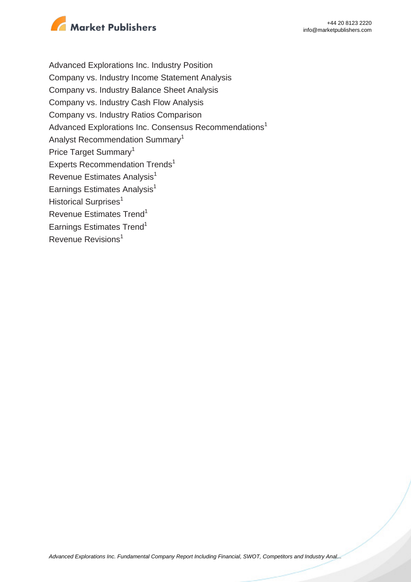

Advanced Explorations Inc. Industry Position Company vs. Industry Income Statement Analysis Company vs. Industry Balance Sheet Analysis Company vs. Industry Cash Flow Analysis Company vs. Industry Ratios Comparison Advanced Explorations Inc. Consensus Recommendations<sup>1</sup> Analyst Recommendation Summary<sup>1</sup> Price Target Summary<sup>1</sup> Experts Recommendation Trends<sup>1</sup> Revenue Estimates Analysis<sup>1</sup> Earnings Estimates Analysis $<sup>1</sup>$ </sup> Historical Surprises<sup>1</sup> Revenue Estimates Trend<sup>1</sup> Earnings Estimates Trend<sup>1</sup> Revenue Revisions<sup>1</sup>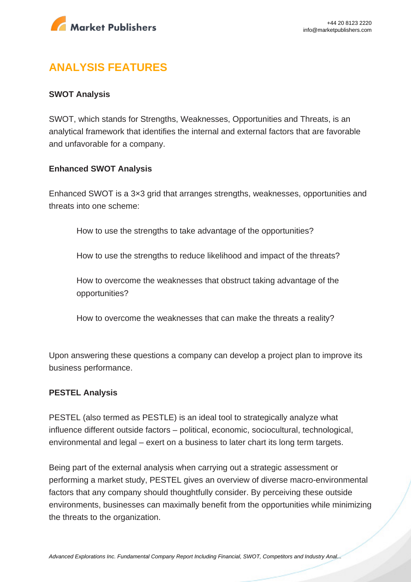

## **ANALYSIS FEATURES**

### **SWOT Analysis**

SWOT, which stands for Strengths, Weaknesses, Opportunities and Threats, is an analytical framework that identifies the internal and external factors that are favorable and unfavorable for a company.

#### **Enhanced SWOT Analysis**

Enhanced SWOT is a 3×3 grid that arranges strengths, weaknesses, opportunities and threats into one scheme:

How to use the strengths to take advantage of the opportunities?

How to use the strengths to reduce likelihood and impact of the threats?

How to overcome the weaknesses that obstruct taking advantage of the opportunities?

How to overcome the weaknesses that can make the threats a reality?

Upon answering these questions a company can develop a project plan to improve its business performance.

#### **PESTEL Analysis**

PESTEL (also termed as PESTLE) is an ideal tool to strategically analyze what influence different outside factors – political, economic, sociocultural, technological, environmental and legal – exert on a business to later chart its long term targets.

Being part of the external analysis when carrying out a strategic assessment or performing a market study, PESTEL gives an overview of diverse macro-environmental factors that any company should thoughtfully consider. By perceiving these outside environments, businesses can maximally benefit from the opportunities while minimizing the threats to the organization.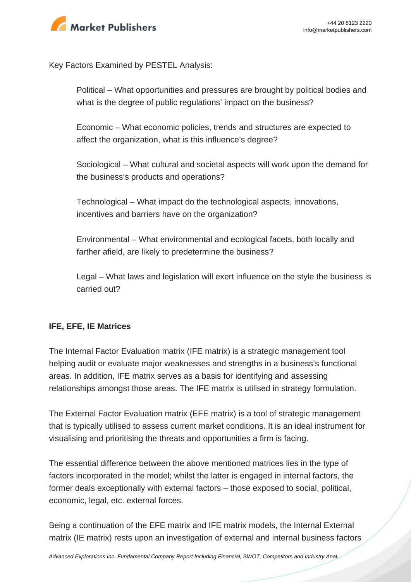

Key Factors Examined by PESTEL Analysis:

Political – What opportunities and pressures are brought by political bodies and what is the degree of public regulations' impact on the business?

Economic – What economic policies, trends and structures are expected to affect the organization, what is this influence's degree?

Sociological – What cultural and societal aspects will work upon the demand for the business's products and operations?

Technological – What impact do the technological aspects, innovations, incentives and barriers have on the organization?

Environmental – What environmental and ecological facets, both locally and farther afield, are likely to predetermine the business?

Legal – What laws and legislation will exert influence on the style the business is carried out?

## **IFE, EFE, IE Matrices**

The Internal Factor Evaluation matrix (IFE matrix) is a strategic management tool helping audit or evaluate major weaknesses and strengths in a business's functional areas. In addition, IFE matrix serves as a basis for identifying and assessing relationships amongst those areas. The IFE matrix is utilised in strategy formulation.

The External Factor Evaluation matrix (EFE matrix) is a tool of strategic management that is typically utilised to assess current market conditions. It is an ideal instrument for visualising and prioritising the threats and opportunities a firm is facing.

The essential difference between the above mentioned matrices lies in the type of factors incorporated in the model; whilst the latter is engaged in internal factors, the former deals exceptionally with external factors – those exposed to social, political, economic, legal, etc. external forces.

Being a continuation of the EFE matrix and IFE matrix models, the Internal External matrix (IE matrix) rests upon an investigation of external and internal business factors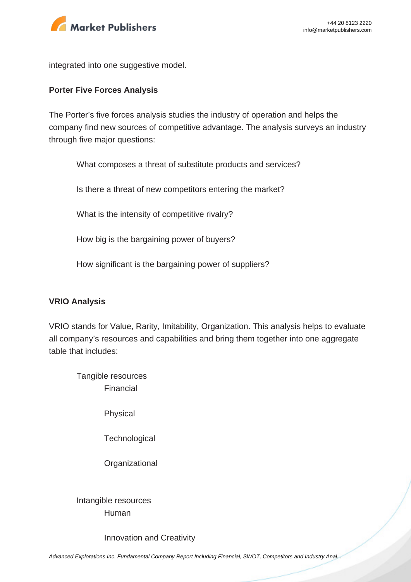

integrated into one suggestive model.

#### **Porter Five Forces Analysis**

The Porter's five forces analysis studies the industry of operation and helps the company find new sources of competitive advantage. The analysis surveys an industry through five major questions:

What composes a threat of substitute products and services?

Is there a threat of new competitors entering the market?

What is the intensity of competitive rivalry?

How big is the bargaining power of buyers?

How significant is the bargaining power of suppliers?

#### **VRIO Analysis**

VRIO stands for Value, Rarity, Imitability, Organization. This analysis helps to evaluate all company's resources and capabilities and bring them together into one aggregate table that includes:

Tangible resources Financial

Physical

**Technological** 

**Organizational** 

Intangible resources Human

Innovation and Creativity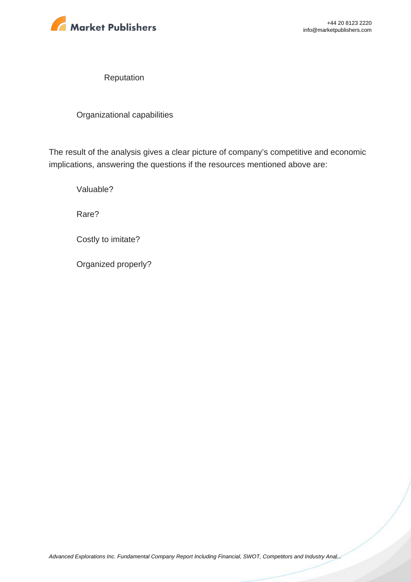

Reputation

Organizational capabilities

The result of the analysis gives a clear picture of company's competitive and economic implications, answering the questions if the resources mentioned above are:

Valuable?

Rare?

Costly to imitate?

Organized properly?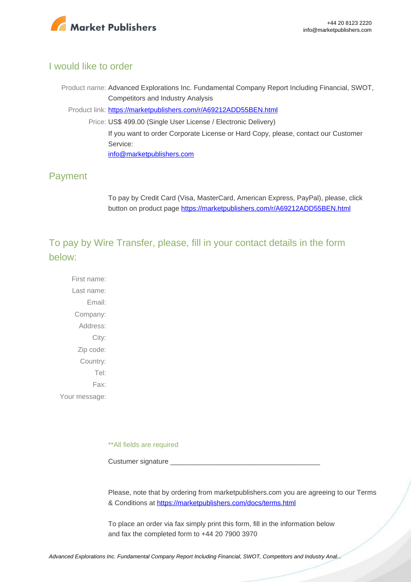

## I would like to order

Product name: Advanced Explorations Inc. Fundamental Company Report Including Financial, SWOT, Competitors and Industry Analysis Product link: [https://marketpublishers.com/r/A69212ADD55BEN.html](https://marketpublishers.com/report/industry/metallurgy/advanced_explorations_inc_swot_analysis_bac.html) Price: US\$ 499.00 (Single User License / Electronic Delivery) If you want to order Corporate License or Hard Copy, please, contact our Customer Service:

[info@marketpublishers.com](mailto:info@marketpublishers.com)

## Payment

To pay by Credit Card (Visa, MasterCard, American Express, PayPal), please, click button on product page [https://marketpublishers.com/r/A69212ADD55BEN.html](https://marketpublishers.com/report/industry/metallurgy/advanced_explorations_inc_swot_analysis_bac.html)

To pay by Wire Transfer, please, fill in your contact details in the form below:

First name: Last name: Email: Company: Address: City: Zip code: Country: Tel: Fax: Your message:

\*\*All fields are required

Custumer signature

Please, note that by ordering from marketpublishers.com you are agreeing to our Terms & Conditions at<https://marketpublishers.com/docs/terms.html>

To place an order via fax simply print this form, fill in the information below and fax the completed form to +44 20 7900 3970